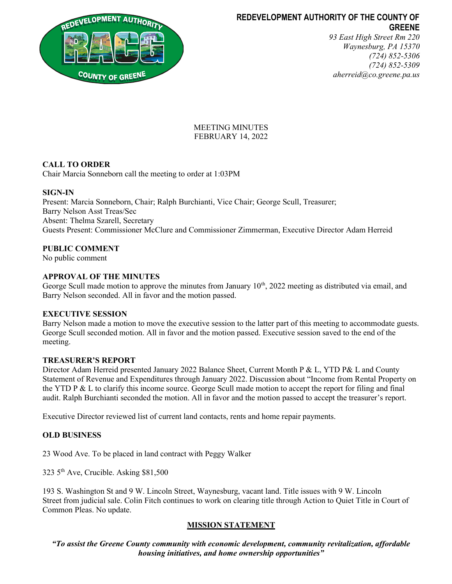

# REDEVELOPMENT AUTHORITY OF THE COUNTY OF GREENE

93 East High Street Rm 220 Waynesburg, PA 15370 (724) 852-5306 (724) 852-5309 aherreid@co.greene.pa.us

## MEETING MINUTES FEBRUARY 14, 2022

## CALL TO ORDER

Chair Marcia Sonneborn call the meeting to order at 1:03PM

### SIGN-IN

Present: Marcia Sonneborn, Chair; Ralph Burchianti, Vice Chair; George Scull, Treasurer; Barry Nelson Asst Treas/Sec Absent: Thelma Szarell, Secretary Guests Present: Commissioner McClure and Commissioner Zimmerman, Executive Director Adam Herreid

### PUBLIC COMMENT

No public comment

### APPROVAL OF THE MINUTES

George Scull made motion to approve the minutes from January  $10<sup>th</sup>$ , 2022 meeting as distributed via email, and Barry Nelson seconded. All in favor and the motion passed.

#### EXECUTIVE SESSION

Barry Nelson made a motion to move the executive session to the latter part of this meeting to accommodate guests. George Scull seconded motion. All in favor and the motion passed. Executive session saved to the end of the meeting.

#### TREASURER'S REPORT

Director Adam Herreid presented January 2022 Balance Sheet, Current Month P & L, YTD P& L and County Statement of Revenue and Expenditures through January 2022. Discussion about "Income from Rental Property on the YTD P & L to clarify this income source. George Scull made motion to accept the report for filing and final audit. Ralph Burchianti seconded the motion. All in favor and the motion passed to accept the treasurer's report.

Executive Director reviewed list of current land contacts, rents and home repair payments.

#### OLD BUSINESS

23 Wood Ave. To be placed in land contract with Peggy Walker

323 5th Ave, Crucible. Asking \$81,500

193 S. Washington St and 9 W. Lincoln Street, Waynesburg, vacant land. Title issues with 9 W. Lincoln Street from judicial sale. Colin Fitch continues to work on clearing title through Action to Quiet Title in Court of Common Pleas. No update.

### MISSION STATEMENT

"To assist the Greene County community with economic development, community revitalization, affordable housing initiatives, and home ownership opportunities"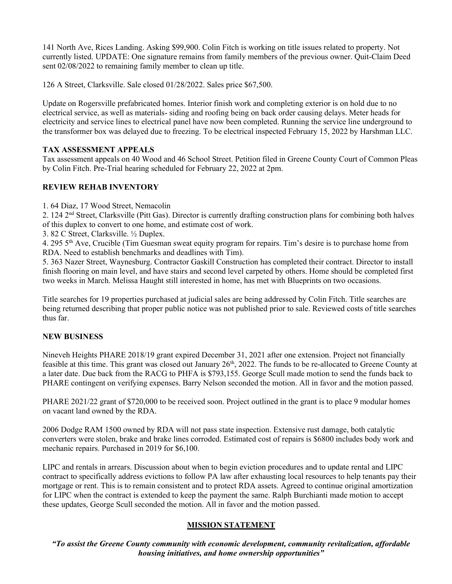141 North Ave, Rices Landing. Asking \$99,900. Colin Fitch is working on title issues related to property. Not currently listed. UPDATE: One signature remains from family members of the previous owner. Quit-Claim Deed sent 02/08/2022 to remaining family member to clean up title.

126 A Street, Clarksville. Sale closed 01/28/2022. Sales price \$67,500.

Update on Rogersville prefabricated homes. Interior finish work and completing exterior is on hold due to no electrical service, as well as materials- siding and roofing being on back order causing delays. Meter heads for electricity and service lines to electrical panel have now been completed. Running the service line underground to the transformer box was delayed due to freezing. To be electrical inspected February 15, 2022 by Harshman LLC.

### TAX ASSESSMENT APPEALS

Tax assessment appeals on 40 Wood and 46 School Street. Petition filed in Greene County Court of Common Pleas by Colin Fitch. Pre-Trial hearing scheduled for February 22, 2022 at 2pm.

### REVIEW REHAB INVENTORY

1. 64 Diaz, 17 Wood Street, Nemacolin

2. 124 2<sup>nd</sup> Street, Clarksville (Pitt Gas). Director is currently drafting construction plans for combining both halves of this duplex to convert to one home, and estimate cost of work.

3. 82 C Street, Clarksville. ½ Duplex.

4. 295 5th Ave, Crucible (Tim Guesman sweat equity program for repairs. Tim's desire is to purchase home from RDA. Need to establish benchmarks and deadlines with Tim).

5. 363 Nazer Street, Waynesburg. Contractor Gaskill Construction has completed their contract. Director to install finish flooring on main level, and have stairs and second level carpeted by others. Home should be completed first two weeks in March. Melissa Haught still interested in home, has met with Blueprints on two occasions.

Title searches for 19 properties purchased at judicial sales are being addressed by Colin Fitch. Title searches are being returned describing that proper public notice was not published prior to sale. Reviewed costs of title searches thus far.

### NEW BUSINESS

Nineveh Heights PHARE 2018/19 grant expired December 31, 2021 after one extension. Project not financially feasible at this time. This grant was closed out January 26<sup>th</sup>, 2022. The funds to be re-allocated to Greene County at a later date. Due back from the RACG to PHFA is \$793,155. George Scull made motion to send the funds back to PHARE contingent on verifying expenses. Barry Nelson seconded the motion. All in favor and the motion passed.

PHARE 2021/22 grant of \$720,000 to be received soon. Project outlined in the grant is to place 9 modular homes on vacant land owned by the RDA.

2006 Dodge RAM 1500 owned by RDA will not pass state inspection. Extensive rust damage, both catalytic converters were stolen, brake and brake lines corroded. Estimated cost of repairs is \$6800 includes body work and mechanic repairs. Purchased in 2019 for \$6,100.

LIPC and rentals in arrears. Discussion about when to begin eviction procedures and to update rental and LIPC contract to specifically address evictions to follow PA law after exhausting local resources to help tenants pay their mortgage or rent. This is to remain consistent and to protect RDA assets. Agreed to continue original amortization for LIPC when the contract is extended to keep the payment the same. Ralph Burchianti made motion to accept these updates, George Scull seconded the motion. All in favor and the motion passed.

### MISSION STATEMENT

"To assist the Greene County community with economic development, community revitalization, affordable housing initiatives, and home ownership opportunities"